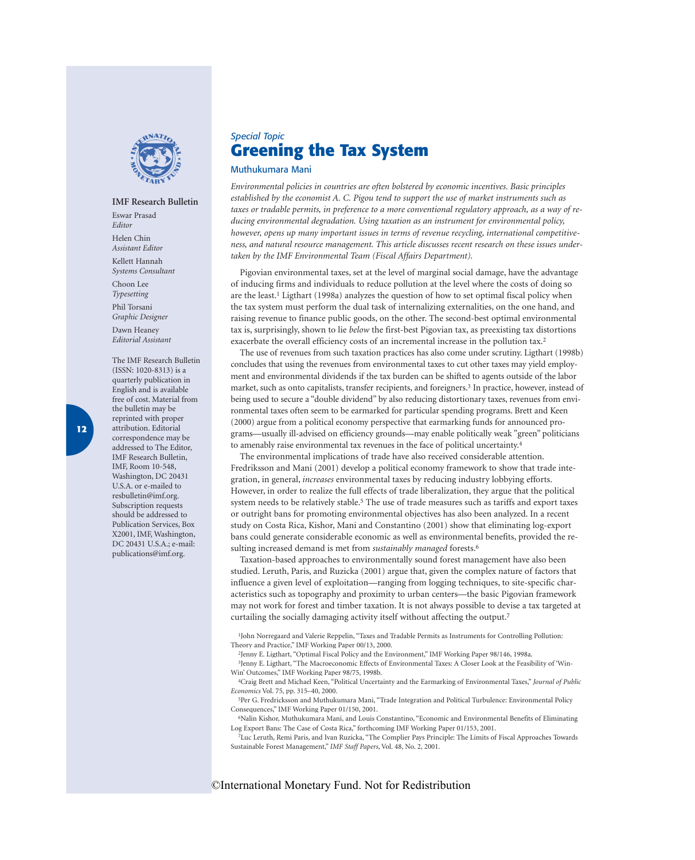

#### **IMF Research Bulletin**

Eswar Prasad *Editor*

Helen Chin *Assistant Editor*

Kellett Hannah *Systems Consultant*

Choon Lee *Typesetting*

Phil Torsani *Graphic Designer*

Dawn Heaney *Editorial Assistant*

The IMF Research Bulletin (ISSN: 1020-8313) is a quarterly publication in English and is available free of cost. Material from the bulletin may be reprinted with proper attribution. Editorial correspondence may be addressed to The Editor, IMF Research Bulletin, IMF, Room 10-548, Washington, DC 20431 U.S.A. or e-mailed to resbulletin@imf.org. Subscription requests should be addressed to Publication Services, Box X2001, IMF, Washington, DC 20431 U.S.A.; e-mail: publications@imf.org.

# *Special Topic* **[Greening the Tax System](#page--1-0)**

#### Muthukumara Mani

*Environmental policies in countries are often bolstered by economic incentives. Basic principles established by the economist A. C. Pigou tend to support the use of market instruments such as taxes or tradable permits, in preference to a more conventional regulatory approach, as a way of reducing environmental degradation. Using taxation as an instrument for environmental policy, however, opens up many important issues in terms of revenue recycling, international competitiveness, and natural resource management. This article discusses recent research on these issues undertaken by the IMF Environmental Team (Fiscal Affairs Department).*

Pigovian environmental taxes, set at the level of marginal social damage, have the advantage of inducing firms and individuals to reduce pollution at the level where the costs of doing so are the least.<sup>1</sup> Ligthart (1998a) analyzes the question of how to set optimal fiscal policy when the tax system must perform the dual task of internalizing externalities, on the one hand, and raising revenue to finance public goods, on the other. The second-best optimal environmental tax is, surprisingly, shown to lie *below* the first-best Pigovian tax, as preexisting tax distortions exacerbate the overall efficiency costs of an incremental increase in the pollution tax.<sup>2</sup>

The use of revenues from such taxation practices has also come under scrutiny. Ligthart (1998b) concludes that using the revenues from environmental taxes to cut other taxes may yield employment and environmental dividends if the tax burden can be shifted to agents outside of the labor market, such as onto capitalists, transfer recipients, and foreigners.3 In practice, however, instead of being used to secure a "double dividend" by also reducing distortionary taxes, revenues from environmental taxes often seem to be earmarked for particular spending programs. Brett and Keen (2000) argue from a political economy perspective that earmarking funds for announced programs—usually ill-advised on efficiency grounds—may enable politically weak "green" politicians to amenably raise environmental tax revenues in the face of political uncertainty.4

The environmental implications of trade have also received considerable attention. Fredriksson and Mani (2001) develop a political economy framework to show that trade integration, in general, *increases* environmental taxes by reducing industry lobbying efforts. However, in order to realize the full effects of trade liberalization, they argue that the political system needs to be relatively stable.<sup>5</sup> The use of trade measures such as tariffs and export taxes or outright bans for promoting environmental objectives has also been analyzed. In a recent study on Costa Rica, Kishor, Mani and Constantino (2001) show that eliminating log-export bans could generate considerable economic as well as environmental benefits, provided the resulting increased demand is met from *sustainably managed* forests.6

Taxation-based approaches to environmentally sound forest management have also been studied. Leruth, Paris, and Ruzicka (2001) argue that, given the complex nature of factors that influence a given level of exploitation—ranging from logging techniques, to site-specific characteristics such as topography and proximity to urban centers—the basic Pigovian framework may not work for forest and timber taxation. It is not always possible to devise a tax targeted at curtailing the socially damaging activity itself without affecting the output.7

1John Norregaard and Valerie Reppelin, "Taxes and Tradable Permits as Instruments for Controlling Pollution: Theory and Practice," IMF Working Paper 00/13, 2000.

2Jenny E. Ligthart, "Optimal Fiscal Policy and the Environment," IMF Working Paper 98/146, 1998a.

3Jenny E. Ligthart, "The Macroeconomic Effects of Environmental Taxes: A Closer Look at the Feasibility of 'Win-Win' Outcomes," IMF Working Paper 98/75, 1998b.

4Craig Brett and Michael Keen, "Political Uncertainty and the Earmarking of Environmental Taxes," *Journal of Public Economics* Vol. 75, pp. 315–40, 2000.

5Per G. Fredricksson and Muthukumara Mani, "Trade Integration and Political Turbulence: Environmental Policy Consequences," IMF Working Paper 01/150, 2001.

6Nalin Kishor, Muthukumara Mani, and Louis Constantino, "Economic and Environmental Benefits of Eliminating Log Export Bans: The Case of Costa Rica," forthcoming IMF Working Paper 01/153, 2001.

7Luc Leruth, Remi Paris, and Ivan Ruzicka, "The Complier Pays Principle: The Limits of Fiscal Approaches Towards Sustainable Forest Management," *IMF Staff Papers*, Vol. 48, No. 2, 2001.

### ©International Monetary Fund. Not for Redistribution